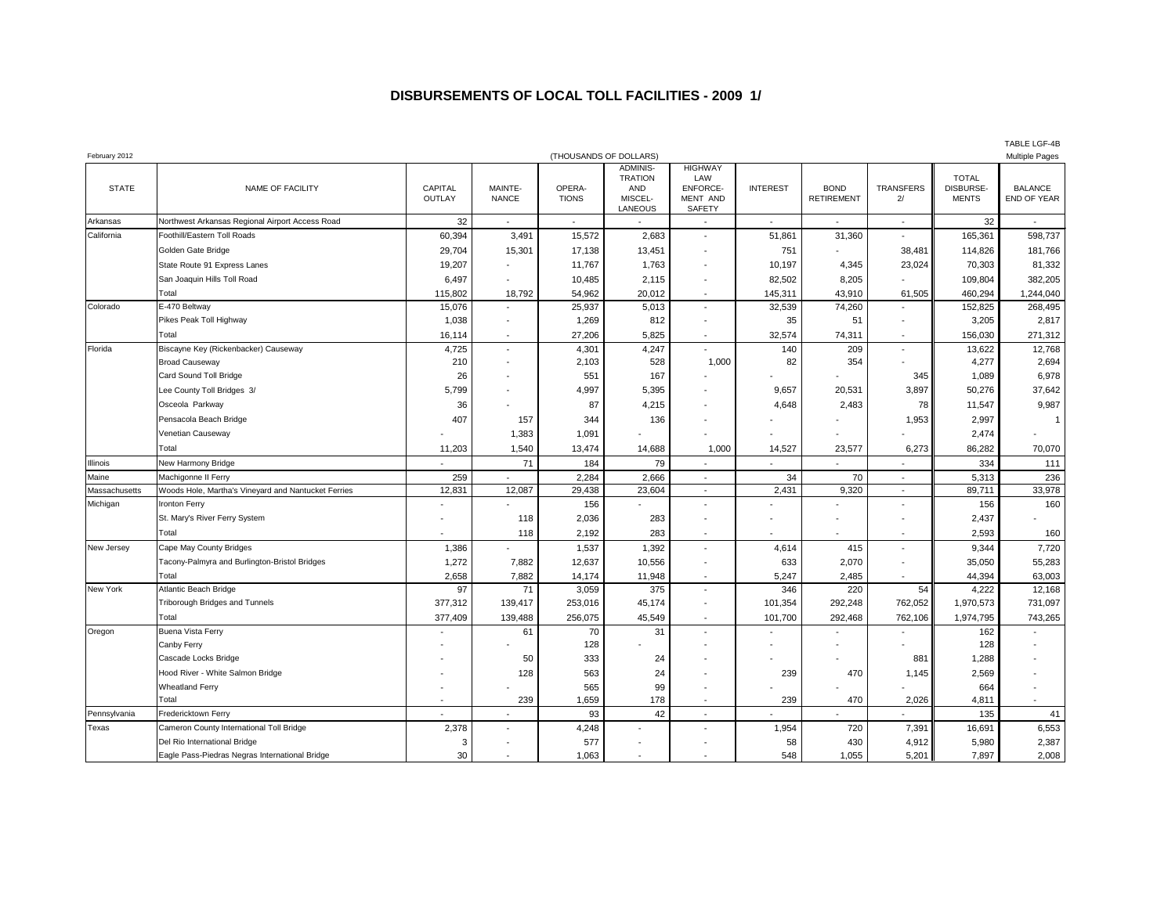## **DISBURSEMENTS OF LOCAL TOLL FACILITIES - 2009 1/**

| February 2012 |                                                                                |                   |                          | (THOUSANDS OF DOLLARS) |                                                                       |                                                                |                 |                                  | <b>Multiple Pages</b> |                                           |                               |  |
|---------------|--------------------------------------------------------------------------------|-------------------|--------------------------|------------------------|-----------------------------------------------------------------------|----------------------------------------------------------------|-----------------|----------------------------------|-----------------------|-------------------------------------------|-------------------------------|--|
| <b>STATE</b>  | NAME OF FACILITY                                                               | CAPITAL<br>OUTLAY | MAINTE-<br><b>NANCE</b>  | OPERA-<br><b>TIONS</b> | <b>ADMINIS-</b><br><b>TRATION</b><br><b>AND</b><br>MISCEL-<br>LANEOUS | <b>HIGHWAY</b><br>LAW<br><b>ENFORCE-</b><br>MENT AND<br>SAFETY | <b>INTEREST</b> | <b>BOND</b><br><b>RETIREMENT</b> | TRANSFERS<br>2/       | <b>TOTAL</b><br>DISBURSE-<br><b>MENTS</b> | <b>BALANCE</b><br>END OF YEAR |  |
| Arkansas      | Northwest Arkansas Regional Airport Access Road                                | 32                | $\overline{\phantom{a}}$ | $\sim$                 |                                                                       |                                                                | $\blacksquare$  | $\blacksquare$                   | $\sim$                | 32                                        | $\blacksquare$                |  |
| California    | Foothill/Eastern Toll Roads                                                    | 60,394            | 3,491                    | 15,572                 | 2,683                                                                 | $\blacksquare$                                                 | 51,861          | 31,360                           | $\blacksquare$        | 165,361                                   | 598,737                       |  |
|               | Golden Gate Bridge                                                             | 29,704            | 15,301                   | 17,138                 | 13,451                                                                |                                                                | 751             |                                  | 38,481                | 114,826                                   | 181,766                       |  |
|               | State Route 91 Express Lanes                                                   | 19,207            |                          | 11,767                 | 1,763                                                                 | $\blacksquare$                                                 | 10,197          | 4,345                            | 23,024                | 70,303                                    | 81,332                        |  |
|               | San Joaquin Hills Toll Road                                                    | 6,497             | $\overline{\phantom{a}}$ | 10,485                 | 2,115                                                                 | $\blacksquare$                                                 | 82,502          | 8,205                            |                       | 109,804                                   | 382,205                       |  |
|               | Total                                                                          | 115,802           | 18,792                   | 54,962                 | 20,012                                                                | $\sim$                                                         | 145,311         | 43,910                           | 61,505                | 460,294                                   | 1,244,040                     |  |
| Colorado      | E-470 Beltway                                                                  | 15,076            | $\sim$                   | 25,937                 | 5,013                                                                 | $\sim$                                                         | 32,539          | 74,260                           | $\blacksquare$        | 152,825                                   | 268,495                       |  |
|               | Pikes Peak Toll Highway                                                        | 1,038             | $\overline{\phantom{a}}$ | 1,269                  | 812                                                                   | $\overline{\phantom{a}}$                                       | 35              | 51                               | $\blacksquare$        | 3,205                                     | 2,817                         |  |
|               | Total                                                                          | 16,114            | $\sim$                   | 27,206                 | 5,825                                                                 | $\sim$                                                         | 32,574          | 74,311                           | $\sim$                | 156,030                                   | 271,312                       |  |
| Florida       | Biscayne Key (Rickenbacker) Causeway                                           | 4,725             | $\sim$                   | 4,301                  | 4,247                                                                 |                                                                | 140             | 209                              | $\blacksquare$        | 13,622                                    | 12,768                        |  |
|               | <b>Broad Causeway</b>                                                          | 210               | $\blacksquare$           | 2,103                  | 528                                                                   | 1,000                                                          | 82              | 354                              |                       | 4,277                                     | 2,694                         |  |
|               | Card Sound Toll Bridge                                                         | 26                | $\blacksquare$           | 551                    | 167                                                                   |                                                                |                 |                                  | 345                   | 1,089                                     | 6,978                         |  |
|               | Lee County Toll Bridges 3/                                                     | 5,799             |                          | 4,997                  | 5,395                                                                 |                                                                | 9,657           | 20,531                           | 3,897                 | 50,276                                    | 37,642                        |  |
|               | Osceola Parkway                                                                | 36                |                          | 87                     | 4,215                                                                 |                                                                | 4,648           | 2,483                            | 78                    | 11,547                                    | 9,987                         |  |
|               | Pensacola Beach Bridge                                                         | 407               | 157                      | 344                    | 136                                                                   |                                                                |                 |                                  | 1,953                 | 2,997                                     |                               |  |
|               | Venetian Causeway                                                              |                   | 1,383                    | 1,091                  |                                                                       |                                                                |                 |                                  |                       | 2,474                                     |                               |  |
|               | Total                                                                          | 11,203            | 1,540                    | 13,474                 | 14,688                                                                | 1,000                                                          | 14,527          | 23,577                           | 6,273                 | 86,282                                    | 70,070                        |  |
| Illinois      | New Harmony Bridge                                                             |                   | 71                       | 184                    | 79                                                                    |                                                                |                 |                                  |                       | 334                                       | 111                           |  |
| Maine         | Machigonne II Ferry                                                            | 259               | $\sim$                   | 2,284                  | 2,666                                                                 | $\sim$                                                         | 34              | 70                               | $\blacksquare$        | 5,313                                     | 236                           |  |
| Massachusetts | Woods Hole, Martha's Vineyard and Nantucket Ferries                            | 12,831            | 12,087                   | 29,438                 | 23,604                                                                | $\sim$                                                         | 2,431           | 9,320                            | $\sim$                | 89,711                                    | 33,978                        |  |
| Michigan      | Ironton Ferry                                                                  |                   |                          | 156                    |                                                                       |                                                                |                 |                                  |                       | 156                                       | 160                           |  |
|               | St. Mary's River Ferry System                                                  |                   | 118                      | 2,036                  | 283                                                                   |                                                                |                 |                                  |                       | 2,437                                     |                               |  |
|               | Total                                                                          |                   | 118                      | 2,192                  | 283                                                                   | $\blacksquare$                                                 |                 |                                  | $\blacksquare$        | 2,593                                     | 160                           |  |
| New Jersey    | Cape May County Bridges                                                        | 1,386             |                          | 1,537                  | 1,392                                                                 | $\blacksquare$                                                 | 4,614           | 415                              | $\blacksquare$        | 9,344                                     | 7,720                         |  |
|               | Tacony-Palmyra and Burlington-Bristol Bridges                                  | 1,272             | 7,882                    | 12,637                 | 10,556                                                                |                                                                | 633             | 2,070                            |                       | 35,050                                    | 55,283                        |  |
|               | Total                                                                          | 2,658             | 7,882                    | 14,174                 | 11,948                                                                |                                                                | 5,247           | 2,485                            |                       | 44,394                                    | 63,003                        |  |
| New York      | <b>Atlantic Beach Bridge</b>                                                   | 97                | 71                       | 3,059                  | 375                                                                   | $\blacksquare$                                                 | 346             | 220                              | 54                    | 4,222                                     | 12,168                        |  |
|               | Triborough Bridges and Tunnels                                                 | 377,312           | 139,417                  | 253,016                | 45,174                                                                | $\blacksquare$                                                 | 101,354         | 292,248                          | 762,052               | 1,970,573                                 | 731,097                       |  |
|               | Total                                                                          | 377,409           | 139,488                  | 256,075                | 45,549                                                                |                                                                | 101,700         | 292,468                          | 762,106               | 1,974,795                                 | 743,265                       |  |
| Oregon        | Buena Vista Ferry                                                              |                   | 61                       | 70                     | 31                                                                    | $\sim$                                                         | $\blacksquare$  | $\blacksquare$                   | $\blacksquare$        | 162                                       |                               |  |
|               | Canby Ferry                                                                    |                   |                          | 128                    |                                                                       |                                                                |                 |                                  |                       | 128                                       |                               |  |
|               | Cascade Locks Bridge                                                           |                   | 50                       | 333                    | 24                                                                    |                                                                |                 |                                  | 881                   | 1,288                                     |                               |  |
|               | Hood River - White Salmon Bridge                                               |                   | 128                      | 563                    | 24                                                                    |                                                                | 239             | 470                              | 1,145                 | 2,569                                     |                               |  |
|               | <b>Wheatland Ferry</b>                                                         |                   |                          | 565                    | 99                                                                    |                                                                |                 |                                  |                       | 664                                       |                               |  |
|               | Total                                                                          |                   | 239                      | 1,659                  | 178                                                                   |                                                                | 239             | 470                              | 2,026                 | 4,811                                     |                               |  |
| Pennsylvania  | Fredericktown Ferry                                                            |                   |                          | 93                     | 42                                                                    |                                                                |                 |                                  |                       | 135                                       | 41                            |  |
| Texas         | Cameron County International Toll Bridge                                       | 2,378             | $\blacksquare$           | 4,248                  |                                                                       |                                                                | 1,954           | 720                              | 7,391                 | 16,691                                    | 6,553                         |  |
|               | Del Rio International Bridge<br>Eagle Pass-Piedras Negras International Bridge | 3                 | $\overline{\phantom{a}}$ | 577                    | $\overline{\phantom{a}}$                                              |                                                                | 58              | 430                              | 4,912                 | 5,980                                     | 2,387                         |  |
|               |                                                                                | 30                | $\overline{\phantom{a}}$ | 1,063                  | $\overline{\phantom{a}}$                                              |                                                                | 548             | 1,055                            | 5,201                 | 7,897                                     | 2,008                         |  |

TABLE LGF-4B